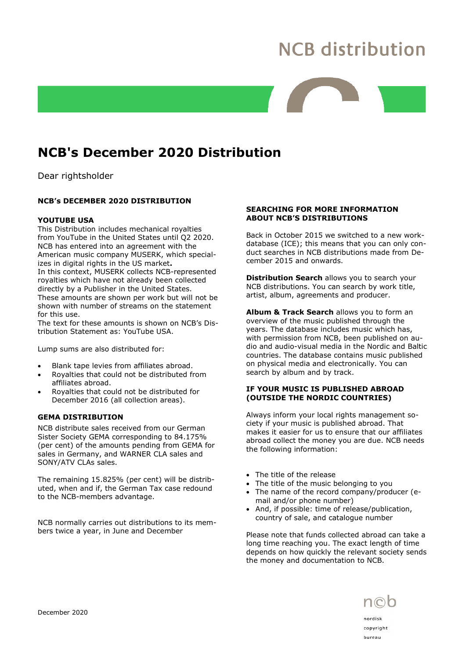# **NCB distribution**

## NCB's December 2020 Distribution

Dear rightsholder

### NCB's DECEMBER 2020 DISTRIBUTION

#### YOUTUBE USA

This Distribution includes mechanical royalties from YouTube in the United States until Q2 2020. NCB has entered into an agreement with the American music company MUSERK, which specializes in digital rights in the US market. In this context, MUSERK collects NCB-represented royalties which have not already been collected directly by a Publisher in the United States. These amounts are shown per work but will not be shown with number of streams on the statement for this use.

The text for these amounts is shown on NCB's Distribution Statement as: YouTube USA.

Lump sums are also distributed for:

- Blank tape levies from affiliates abroad.
- Royalties that could not be distributed from affiliates abroad.
- Royalties that could not be distributed for December 2016 (all collection areas).

#### GEMA DISTRIBUTION

NCB distribute sales received from our German Sister Society GEMA corresponding to 84.175% (per cent) of the amounts pending from GEMA for sales in Germany, and WARNER CLA sales and SONY/ATV CLAs sales.

The remaining 15.825% (per cent) will be distributed, when and if, the German Tax case redound to the NCB-members advantage.

NCB normally carries out distributions to its members twice a year, in June and December

#### SEARCHING FOR MORE INFORMATION ABOUT NCB'S DISTRIBUTIONS

Back in October 2015 we switched to a new workdatabase (ICE); this means that you can only conduct searches in NCB distributions made from December 2015 and onwards.

Distribution Search allows you to search your NCB distributions. You can search by work title, artist, album, agreements and producer.

Album & Track Search allows you to form an overview of the music published through the years. The database includes music which has, with permission from NCB, been published on audio and audio-visual media in the Nordic and Baltic countries. The database contains music published on physical media and electronically. You can search by album and by track.

#### IF YOUR MUSIC IS PUBLISHED ABROAD (OUTSIDE THE NORDIC COUNTRIES)

Always inform your local rights management society if your music is published abroad. That makes it easier for us to ensure that our affiliates abroad collect the money you are due. NCB needs the following information:

- The title of the release
- The title of the music belonging to you
- The name of the record company/producer (email and/or phone number)
- And, if possible: time of release/publication, country of sale, and catalogue number

Please note that funds collected abroad can take a long time reaching you. The exact length of time depends on how quickly the relevant society sends the money and documentation to NCB.